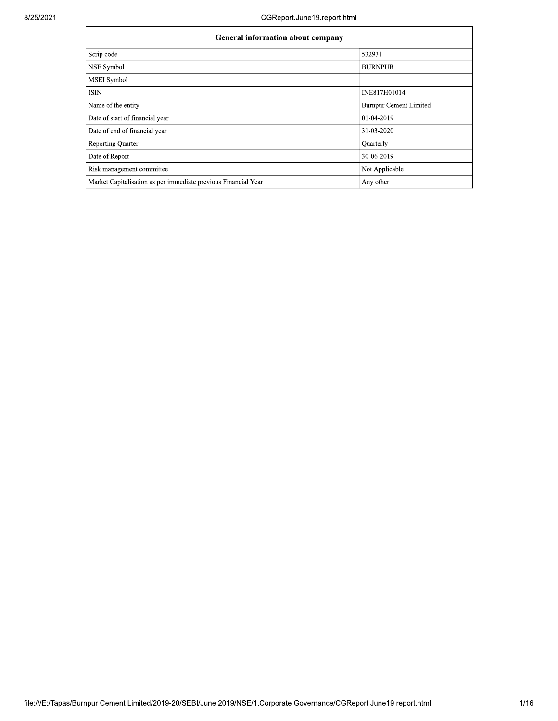$\mathbf{r}$ 

| <b>General information about company</b>                       |                               |  |  |  |  |
|----------------------------------------------------------------|-------------------------------|--|--|--|--|
| Scrip code                                                     | 532931                        |  |  |  |  |
| NSE Symbol                                                     | <b>BURNPUR</b>                |  |  |  |  |
| MSEI Symbol                                                    |                               |  |  |  |  |
| <b>ISIN</b>                                                    | INE817H01014                  |  |  |  |  |
| Name of the entity                                             | <b>Burnpur Cement Limited</b> |  |  |  |  |
| Date of start of financial year                                | 01-04-2019                    |  |  |  |  |
| Date of end of financial year                                  | 31-03-2020                    |  |  |  |  |
| <b>Reporting Quarter</b>                                       | Quarterly                     |  |  |  |  |
| Date of Report                                                 | 30-06-2019                    |  |  |  |  |
| Risk management committee                                      | Not Applicable                |  |  |  |  |
| Market Capitalisation as per immediate previous Financial Year | Any other                     |  |  |  |  |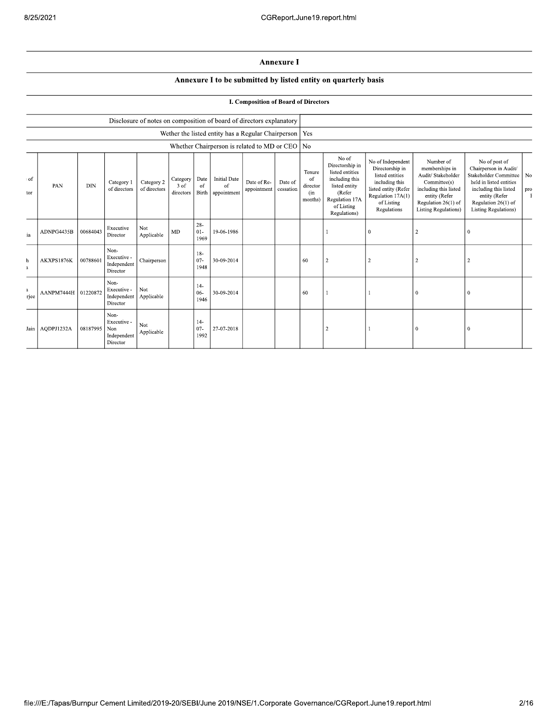## **Annexure I**

## Annexure I to be submitted by listed entity on quarterly basis

## **I. Composition of Board of Directors**

|                                 |                     |            |                                                       |                            |                               |                            |                                          | Disclosure of notes on composition of board of directors explanatory |                      |                                            |                                                                                                                                          |                                                                                                                                                     |                                                                                                                                                                   |                                                                                                                                                                                                   |           |
|---------------------------------|---------------------|------------|-------------------------------------------------------|----------------------------|-------------------------------|----------------------------|------------------------------------------|----------------------------------------------------------------------|----------------------|--------------------------------------------|------------------------------------------------------------------------------------------------------------------------------------------|-----------------------------------------------------------------------------------------------------------------------------------------------------|-------------------------------------------------------------------------------------------------------------------------------------------------------------------|---------------------------------------------------------------------------------------------------------------------------------------------------------------------------------------------------|-----------|
|                                 |                     |            |                                                       |                            |                               |                            |                                          | Wether the listed entity has a Regular Chairperson   Yes             |                      |                                            |                                                                                                                                          |                                                                                                                                                     |                                                                                                                                                                   |                                                                                                                                                                                                   |           |
|                                 |                     |            |                                                       |                            |                               |                            |                                          | Whether Chairperson is related to MD or CEO   No                     |                      |                                            |                                                                                                                                          |                                                                                                                                                     |                                                                                                                                                                   |                                                                                                                                                                                                   |           |
| : of<br>tor                     | PAN                 | <b>DIN</b> | Category 1<br>of directors                            | Category 2<br>of directors | Category<br>3 of<br>directors | Date<br>of<br><b>Birth</b> | <b>Initial Date</b><br>of<br>appointment | Date of Re-<br>appointment                                           | Date of<br>cessation | Tenure<br>of<br>director<br>(in<br>months) | No of<br>Directorship in<br>listed entities<br>including this<br>listed entity<br>(Refer<br>Regulation 17A<br>of Listing<br>Regulations) | No of Independent<br>Directorship in<br>listed entities<br>including this<br>listed entity (Refer<br>Regulation 17A(1)<br>of Listing<br>Regulations | Number of<br>memberships in<br>Audit/ Stakeholder<br>Committee(s)<br>including this listed<br>entity (Refer<br>Regulation 26(1) of<br><b>Listing Regulations)</b> | No of post of<br>Chairperson in Audit/<br><b>Stakeholder Committee</b><br>held in listed entities<br>including this listed<br>entity (Refer<br>Regulation 26(1) of<br><b>Listing Regulations)</b> | No<br>pro |
| ia                              | ADNPG4435B          | 00684043   | Executive<br>Director                                 | Not<br>Applicable          | MD                            | $28 -$<br>$01-$<br>1969    | 19-06-1986                               |                                                                      |                      |                                            |                                                                                                                                          | $\bf{0}$                                                                                                                                            | 2                                                                                                                                                                 | $\bf{0}$                                                                                                                                                                                          |           |
| h<br>$\mathbf{a}$               | AKXPS1876K          | 00788601   | Non-<br>Executive -<br>Independent<br>Director        | Chairperson                |                               | $18-$<br>$07 -$<br>1948    | 30-09-2014                               |                                                                      |                      | 60                                         | $\overline{2}$                                                                                                                           | $\overline{2}$                                                                                                                                      | $\overline{c}$                                                                                                                                                    | $\overline{c}$                                                                                                                                                                                    |           |
| $\overline{\mathbf{a}}$<br>riee | AANPM7444H 01220872 |            | Non-<br>Executive -<br>Independent<br>Director        | Not<br>Applicable          |                               | $14-$<br>$06 -$<br>1946    | 30-09-2014                               |                                                                      |                      | 60                                         |                                                                                                                                          |                                                                                                                                                     | $\Omega$                                                                                                                                                          | $\mathbf{0}$                                                                                                                                                                                      |           |
|                                 | Jain   AQDPJ1232A   | 08187995   | Non-<br>Executive -<br>Non<br>Independent<br>Director | Not<br>Applicable          |                               | $14-$<br>$07 -$<br>1992    | 27-07-2018                               |                                                                      |                      |                                            | 2                                                                                                                                        |                                                                                                                                                     | $^{0}$                                                                                                                                                            | $\theta$                                                                                                                                                                                          |           |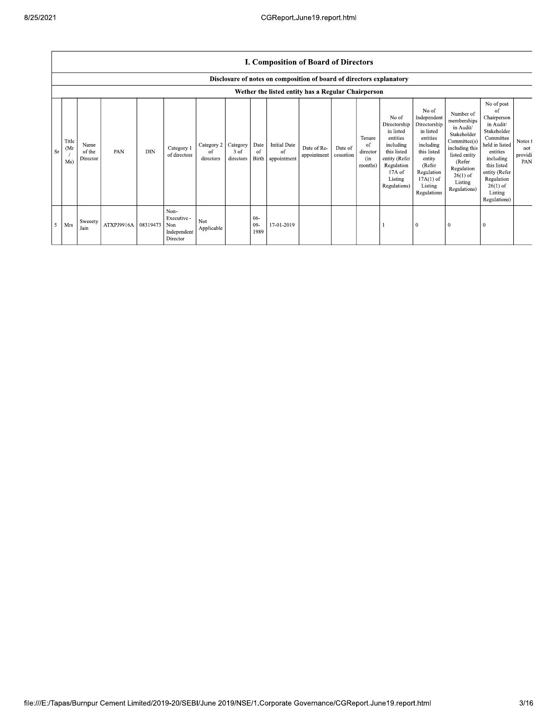$\Gamma$ 

|           | <b>I. Composition of Board of Directors</b>                          |                                                    |            |            |                                                       |                               |                               |                      |                                          |                            |                      |                                            |                                                                                                                                                |                                                                                                                                                                      |                                                                                                                                                                          |                                                                                                                                                                                                            |                                  |
|-----------|----------------------------------------------------------------------|----------------------------------------------------|------------|------------|-------------------------------------------------------|-------------------------------|-------------------------------|----------------------|------------------------------------------|----------------------------|----------------------|--------------------------------------------|------------------------------------------------------------------------------------------------------------------------------------------------|----------------------------------------------------------------------------------------------------------------------------------------------------------------------|--------------------------------------------------------------------------------------------------------------------------------------------------------------------------|------------------------------------------------------------------------------------------------------------------------------------------------------------------------------------------------------------|----------------------------------|
|           | Disclosure of notes on composition of board of directors explanatory |                                                    |            |            |                                                       |                               |                               |                      |                                          |                            |                      |                                            |                                                                                                                                                |                                                                                                                                                                      |                                                                                                                                                                          |                                                                                                                                                                                                            |                                  |
|           |                                                                      | Wether the listed entity has a Regular Chairperson |            |            |                                                       |                               |                               |                      |                                          |                            |                      |                                            |                                                                                                                                                |                                                                                                                                                                      |                                                                                                                                                                          |                                                                                                                                                                                                            |                                  |
| <b>Sr</b> | Title<br>(Mr<br>Ms)                                                  | Name<br>of the<br>Director                         | PAN        | <b>DIN</b> | Category 1<br>of directors                            | Category 2<br>of<br>directors | Category<br>3 of<br>directors | Date<br>of<br>Birth  | <b>Initial Date</b><br>of<br>appointment | Date of Re-<br>appointment | Date of<br>cessation | Tenure<br>of<br>director<br>(in<br>months) | No of<br>Directorship<br>in listed<br>entities<br>including<br>this listed<br>entity (Refer<br>Regulation<br>17A of<br>Listing<br>Regulations) | No of<br>Independent<br>Directorship<br>in listed<br>entities<br>including<br>this listed<br>entity<br>(Refer<br>Regulation<br>$17A(1)$ of<br>Listing<br>Regulations | Number of<br>memberships<br>in Audit/<br>Stakeholder<br>Committee(s)<br>including this<br>listed entity<br>(Refer<br>Regulation<br>$26(1)$ of<br>Listing<br>Regulations) | No of post<br>of<br>Chairperson<br>in Audit/<br>Stakeholder<br>Committee<br>held in listed<br>entities<br>including<br>this listed<br>entity (Refer<br>Regulation<br>$26(1)$ of<br>Listing<br>Regulations) | Notes f<br>not<br>providi<br>PAN |
| $\sim$    | Mrs                                                                  | Sweeety<br>Jain                                    | ATXPJ9916A | 08319473   | Non-<br>Executive -<br>Non<br>Independent<br>Director | Not<br>Applicable             |                               | $06 -$<br>09<br>1989 | 17-01-2019                               |                            |                      |                                            |                                                                                                                                                | $\theta$                                                                                                                                                             | $\theta$                                                                                                                                                                 | -0                                                                                                                                                                                                         |                                  |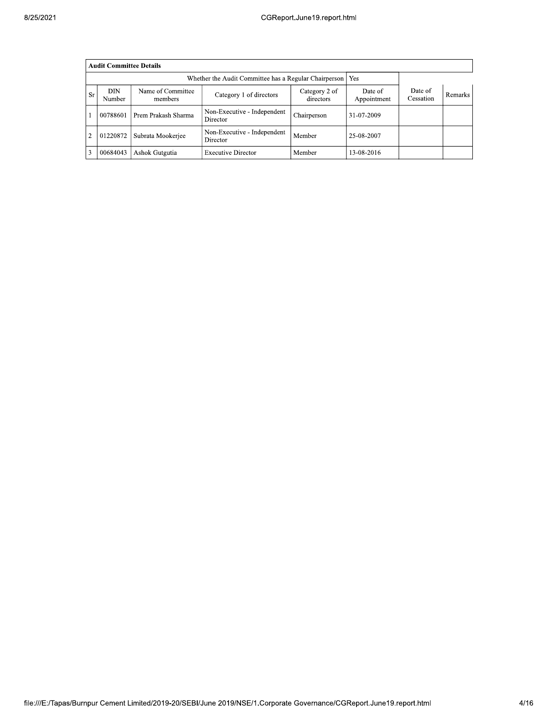|                | <b>Audit Committee Details</b> |                              |                                                       |                            |                        |                      |         |  |  |  |
|----------------|--------------------------------|------------------------------|-------------------------------------------------------|----------------------------|------------------------|----------------------|---------|--|--|--|
|                |                                |                              | Whether the Audit Committee has a Regular Chairperson | <b>Yes</b>                 |                        |                      |         |  |  |  |
| <b>Sr</b>      | DIN<br>Number                  | Name of Committee<br>members | Category 1 of directors                               | Category 2 of<br>directors | Date of<br>Appointment | Date of<br>Cessation | Remarks |  |  |  |
|                | 00788601                       | Prem Prakash Sharma          | Non-Executive - Independent<br>Director               | Chairperson                | 31-07-2009             |                      |         |  |  |  |
| $\overline{2}$ | 01220872                       | Subrata Mookerjee            | Non-Executive - Independent<br>Director               | Member                     | 25-08-2007             |                      |         |  |  |  |
| 3              | 00684043                       | Ashok Gutgutia               | <b>Executive Director</b>                             | Member                     | 13-08-2016             |                      |         |  |  |  |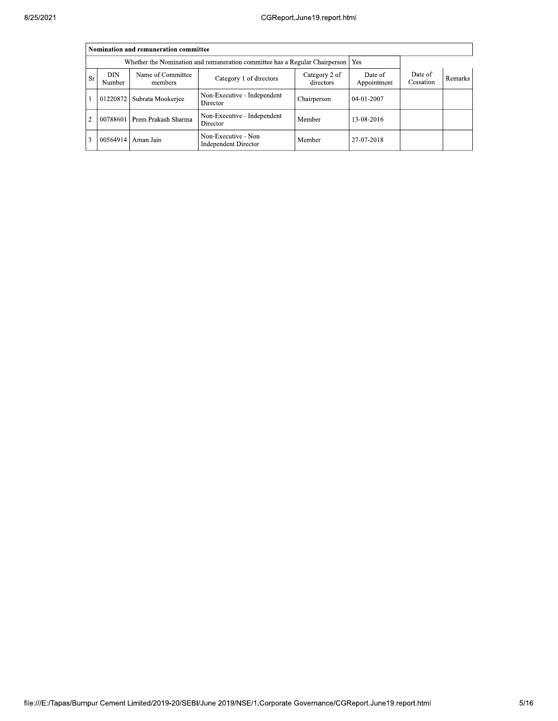|                | Nomination and remuneration committee                                       |                                                                                       |                                             |             |              |                      |                |  |  |  |  |
|----------------|-----------------------------------------------------------------------------|---------------------------------------------------------------------------------------|---------------------------------------------|-------------|--------------|----------------------|----------------|--|--|--|--|
|                | Whether the Nomination and remuneration committee has a Regular Chairperson | <b>Yes</b>                                                                            |                                             |             |              |                      |                |  |  |  |  |
| <b>Sr</b>      | DIN<br>Number                                                               | Name of Committee<br>Category 2 of<br>Category 1 of directors<br>directors<br>members |                                             |             |              | Date of<br>Cessation | <b>Remarks</b> |  |  |  |  |
|                | 01220872                                                                    | Subrata Mookerjee                                                                     | Non-Executive - Independent<br>Director     | Chairperson | $04-01-2007$ |                      |                |  |  |  |  |
| $\overline{c}$ |                                                                             | 00788601 Prem Prakash Sharma                                                          | Non-Executive - Independent<br>Director     | Member      | 13-08-2016   |                      |                |  |  |  |  |
|                | 00564914                                                                    | Aman Jain                                                                             | Non-Executive - Non<br>Independent Director | Member      | 27-07-2018   |                      |                |  |  |  |  |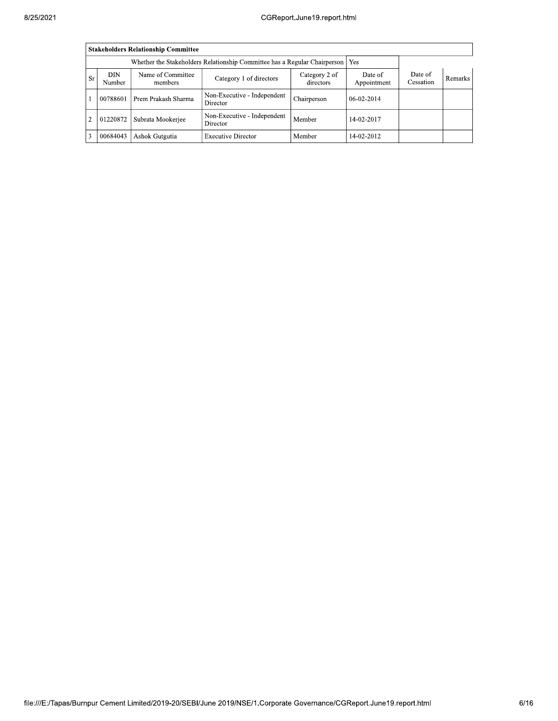|                | <b>Stakeholders Relationship Committee</b>                                |                              |                                         |                            |                        |                      |         |  |  |  |  |
|----------------|---------------------------------------------------------------------------|------------------------------|-----------------------------------------|----------------------------|------------------------|----------------------|---------|--|--|--|--|
|                | Whether the Stakeholders Relationship Committee has a Regular Chairperson |                              |                                         |                            |                        |                      |         |  |  |  |  |
| <b>Sr</b>      | DIN<br>Number                                                             | Name of Committee<br>members | Category 1 of directors                 | Category 2 of<br>directors | Date of<br>Appointment | Date of<br>Cessation | Remarks |  |  |  |  |
|                | 00788601                                                                  | Prem Prakash Sharma          | Non-Executive - Independent<br>Director | Chairperson                | $06-02-2014$           |                      |         |  |  |  |  |
| $\overline{2}$ | 01220872                                                                  | Subrata Mookerjee            | Non-Executive - Independent<br>Director | Member                     | 14-02-2017             |                      |         |  |  |  |  |
| 3              | 00684043                                                                  | Ashok Gutgutia               | <b>Executive Director</b>               | Member                     | 14-02-2012             |                      |         |  |  |  |  |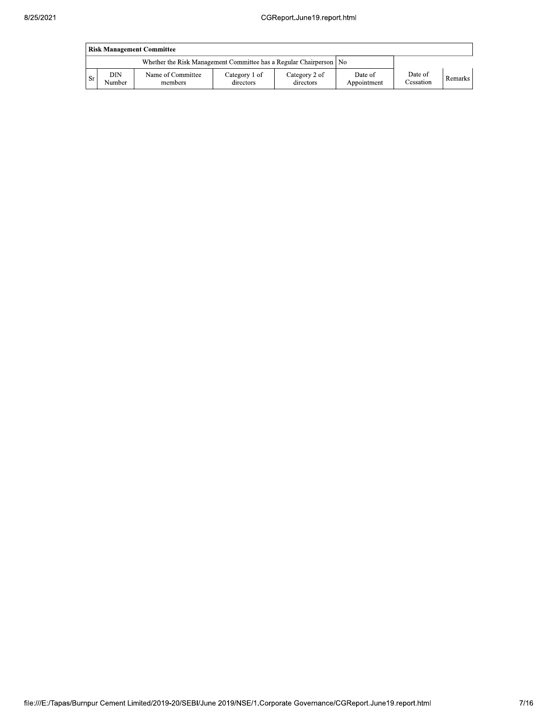|      | <b>Risk Management Committee</b> |                                                                      |                            |                            |                        |                      |           |  |  |
|------|----------------------------------|----------------------------------------------------------------------|----------------------------|----------------------------|------------------------|----------------------|-----------|--|--|
|      |                                  | Whether the Risk Management Committee has a Regular Chairperson   No |                            |                            |                        |                      |           |  |  |
| . Sr | DIN<br>Number                    | Name of Committee<br>members                                         | Category 1 of<br>directors | Category 2 of<br>directors | Date of<br>Appointment | Date of<br>Cessation | Remarks I |  |  |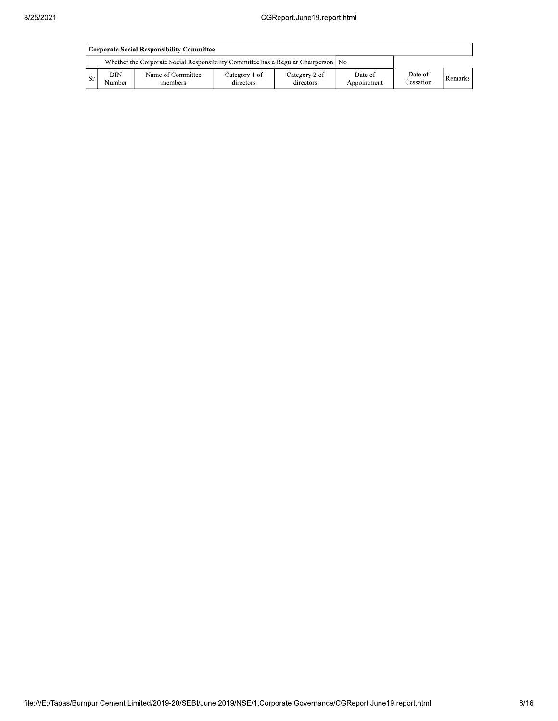|      | Corporate Social Responsibility Committee |                                                                                      |                            |                            |                        |                      |           |  |  |
|------|-------------------------------------------|--------------------------------------------------------------------------------------|----------------------------|----------------------------|------------------------|----------------------|-----------|--|--|
|      |                                           | Whether the Corporate Social Responsibility Committee has a Regular Chairperson   No |                            |                            |                        |                      |           |  |  |
| + Sr | DIN<br>Number                             | Name of Committee<br>members                                                         | Category 1 of<br>directors | Category 2 of<br>directors | Date of<br>Appointment | Date of<br>Cessation | Remarks I |  |  |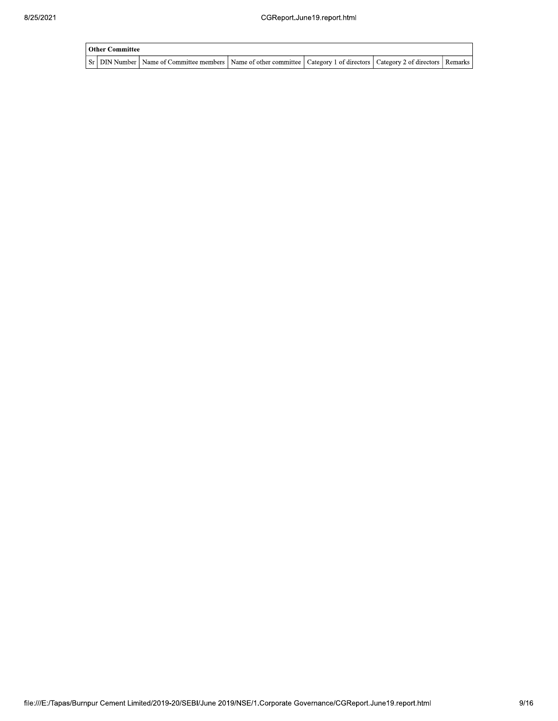| l Other Committee |                                                                                                                                     |  |  |
|-------------------|-------------------------------------------------------------------------------------------------------------------------------------|--|--|
|                   | Sr   DIN Number   Name of Committee members   Name of other committee   Category 1 of directors   Category 2 of directors   Remarks |  |  |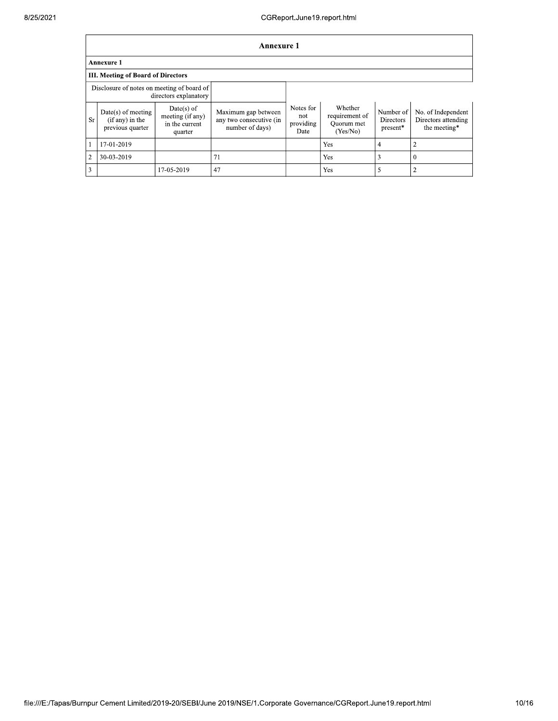|                | <b>Annexure 1</b>                                                   |                                                             |                                                                   |                                       |                                                     |                                           |                                                           |  |
|----------------|---------------------------------------------------------------------|-------------------------------------------------------------|-------------------------------------------------------------------|---------------------------------------|-----------------------------------------------------|-------------------------------------------|-----------------------------------------------------------|--|
|                | Annexure 1                                                          |                                                             |                                                                   |                                       |                                                     |                                           |                                                           |  |
|                | III. Meeting of Board of Directors                                  |                                                             |                                                                   |                                       |                                                     |                                           |                                                           |  |
|                | Disclosure of notes on meeting of board of<br>directors explanatory |                                                             |                                                                   |                                       |                                                     |                                           |                                                           |  |
| Sr.            | $Date(s)$ of meeting<br>$(if any)$ in the<br>previous quarter       | Date(s) of<br>meeting (if any)<br>in the current<br>quarter | Maximum gap between<br>any two consecutive (in<br>number of days) | Notes for<br>not<br>providing<br>Date | Whether<br>requirement of<br>Ouorum met<br>(Yes/No) | Number of<br><b>Directors</b><br>present* | No. of Independent<br>Directors attending<br>the meeting* |  |
| $\mathbf{1}$   | 17-01-2019                                                          |                                                             |                                                                   |                                       | Yes                                                 | 4                                         |                                                           |  |
| $\overline{2}$ | 30-03-2019                                                          |                                                             | 71                                                                |                                       | Yes                                                 | 3                                         | $\theta$                                                  |  |
| 3              |                                                                     | 17-05-2019                                                  | 47                                                                |                                       | Yes                                                 | 5                                         | 2                                                         |  |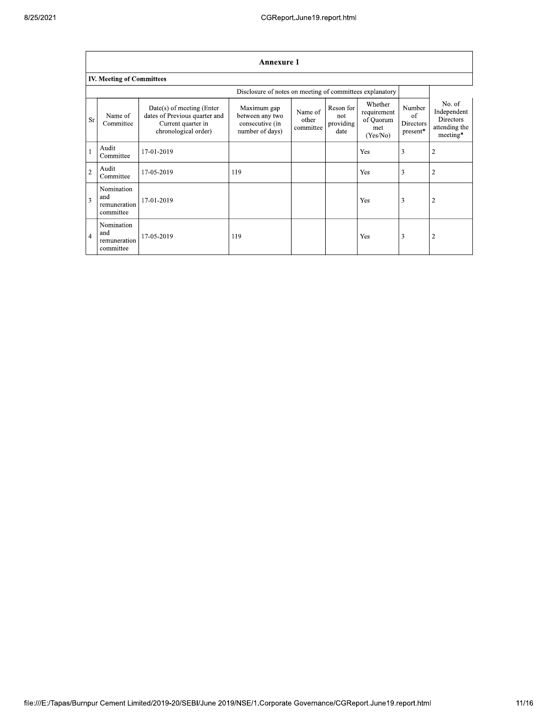|                | <b>Annexure 1</b>                              |                                                                                                          |                                                                      |                               |                                       |                                                        |                                       |                                                                        |  |
|----------------|------------------------------------------------|----------------------------------------------------------------------------------------------------------|----------------------------------------------------------------------|-------------------------------|---------------------------------------|--------------------------------------------------------|---------------------------------------|------------------------------------------------------------------------|--|
|                | <b>IV. Meeting of Committees</b>               |                                                                                                          |                                                                      |                               |                                       |                                                        |                                       |                                                                        |  |
|                |                                                |                                                                                                          | Disclosure of notes on meeting of committees explanatory             |                               |                                       |                                                        |                                       |                                                                        |  |
| <b>Sr</b>      | Name of<br>Committee                           | Date(s) of meeting (Enter<br>dates of Previous quarter and<br>Current quarter in<br>chronological order) | Maximum gap<br>between any two<br>consecutive (in<br>number of days) | Name of<br>other<br>committee | Reson for<br>not<br>providing<br>date | Whether<br>requirement<br>of Quorum<br>met<br>(Yes/No) | Number<br>of<br>Directors<br>present* | No. of<br>Independent<br><b>Directors</b><br>attending the<br>meeting* |  |
| $\mathbf{1}$   | Audit<br>Committee                             | 17-01-2019                                                                                               |                                                                      |                               |                                       | Yes                                                    | 3                                     | $\overline{2}$                                                         |  |
| $\overline{2}$ | Audit<br>Committee                             | 17-05-2019                                                                                               | 119                                                                  |                               |                                       | Yes                                                    | 3                                     | $\overline{2}$                                                         |  |
| $\overline{3}$ | Nomination<br>and<br>remuneration<br>committee | 17-01-2019                                                                                               |                                                                      |                               |                                       | Yes                                                    | 3                                     | $\overline{2}$                                                         |  |
| $\overline{4}$ | Nomination<br>and<br>remuneration<br>committee | 17-05-2019                                                                                               | 119                                                                  |                               |                                       | Yes                                                    | 3                                     | $\overline{2}$                                                         |  |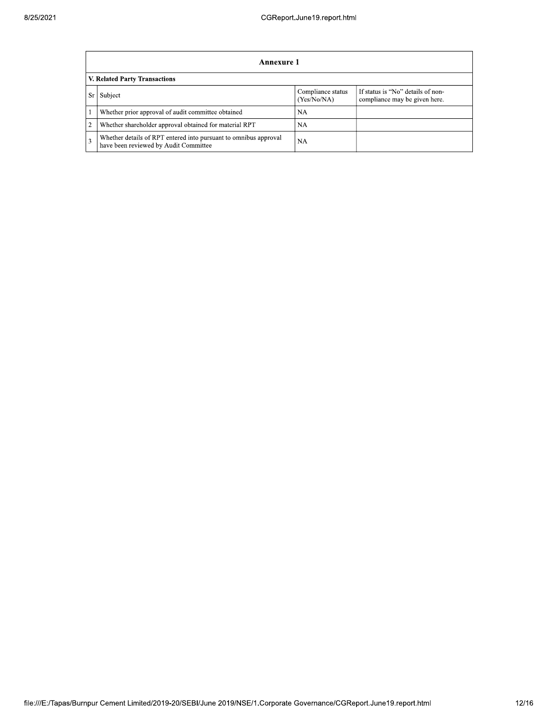|                | Annexure 1                                                                                                |                                  |                                                                    |  |  |  |  |
|----------------|-----------------------------------------------------------------------------------------------------------|----------------------------------|--------------------------------------------------------------------|--|--|--|--|
|                | V. Related Party Transactions                                                                             |                                  |                                                                    |  |  |  |  |
| Sr             | Subject                                                                                                   | Compliance status<br>(Yes/No/NA) | If status is "No" details of non-<br>compliance may be given here. |  |  |  |  |
|                | Whether prior approval of audit committee obtained                                                        | <b>NA</b>                        |                                                                    |  |  |  |  |
| $\overline{2}$ | Whether shareholder approval obtained for material RPT                                                    | NA                               |                                                                    |  |  |  |  |
| 3              | Whether details of RPT entered into pursuant to omnibus approval<br>have been reviewed by Audit Committee | <b>NA</b>                        |                                                                    |  |  |  |  |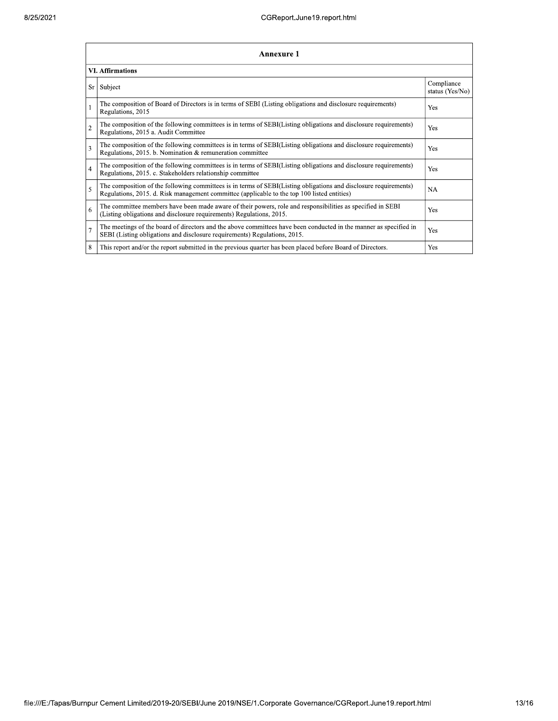| <b>Annexure 1</b>       |                                                                                                                                                                                                                 |                               |  |  |
|-------------------------|-----------------------------------------------------------------------------------------------------------------------------------------------------------------------------------------------------------------|-------------------------------|--|--|
| <b>VI. Affirmations</b> |                                                                                                                                                                                                                 |                               |  |  |
| Sr                      | Subject                                                                                                                                                                                                         | Compliance<br>status (Yes/No) |  |  |
|                         | The composition of Board of Directors is in terms of SEBI (Listing obligations and disclosure requirements)<br>Regulations, 2015                                                                                | Yes                           |  |  |
| $\overline{2}$          | The composition of the following committees is in terms of SEBI(Listing obligations and disclosure requirements)<br>Regulations, 2015 a. Audit Committee                                                        | Yes                           |  |  |
| 3                       | The composition of the following committees is in terms of SEBI(Listing obligations and disclosure requirements)<br>Regulations, 2015. b. Nomination & remuneration committee                                   | Yes                           |  |  |
| $\overline{4}$          | The composition of the following committees is in terms of SEBI(Listing obligations and disclosure requirements)<br>Regulations, 2015. c. Stakeholders relationship committee                                   | Yes                           |  |  |
| 5                       | The composition of the following committees is in terms of SEBI(Listing obligations and disclosure requirements)<br>Regulations, 2015. d. Risk management committee (applicable to the top 100 listed entities) | NA                            |  |  |
| 6                       | The committee members have been made aware of their powers, role and responsibilities as specified in SEBI<br>(Listing obligations and disclosure requirements) Regulations, 2015.                              | Yes                           |  |  |
| $\overline{7}$          | The meetings of the board of directors and the above committees have been conducted in the manner as specified in<br>SEBI (Listing obligations and disclosure requirements) Regulations, 2015.                  | Yes                           |  |  |
| 8                       | This report and/or the report submitted in the previous quarter has been placed before Board of Directors.                                                                                                      | Yes                           |  |  |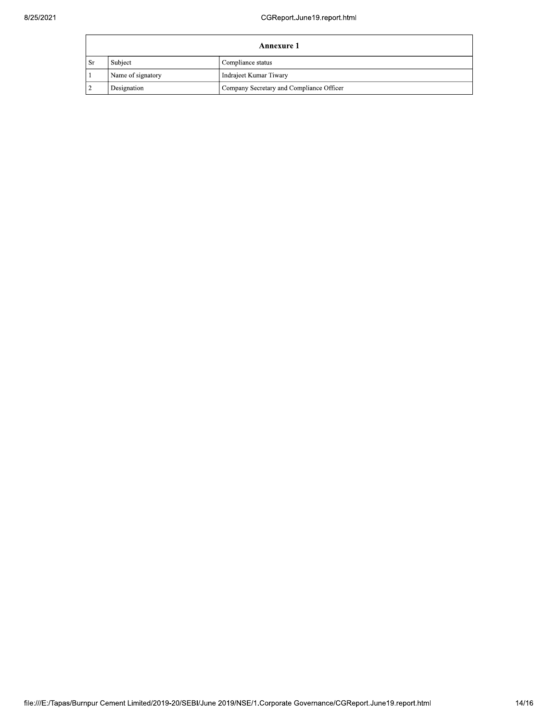| <b>Annexure 1</b> |                   |                                          |  |
|-------------------|-------------------|------------------------------------------|--|
| . Sr              | Subject           | Compliance status                        |  |
|                   | Name of signatory | Indrajeet Kumar Tiwary                   |  |
|                   | Designation       | Company Secretary and Compliance Officer |  |